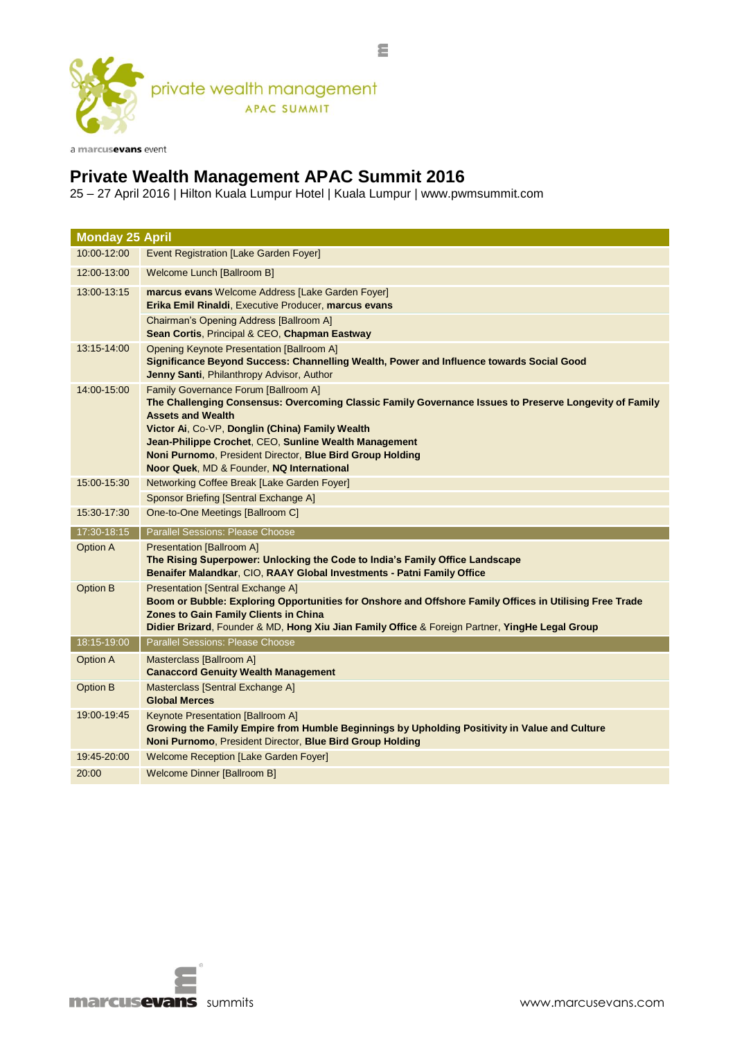

a marcusevans event

## **Private Wealth Management APAC Summit 2016**

25 – 27 April 2016 | Hilton Kuala Lumpur Hotel | Kuala Lumpur | www.pwmsummit.com

| <b>Monday 25 April</b>         |                                                                                                                                                                                                                                                                                                                                                                                                  |
|--------------------------------|--------------------------------------------------------------------------------------------------------------------------------------------------------------------------------------------------------------------------------------------------------------------------------------------------------------------------------------------------------------------------------------------------|
| 10:00-12:00                    | <b>Event Registration [Lake Garden Foyer]</b>                                                                                                                                                                                                                                                                                                                                                    |
| 12:00-13:00                    | Welcome Lunch [Ballroom B]                                                                                                                                                                                                                                                                                                                                                                       |
| 13:00-13:15                    | marcus evans Welcome Address [Lake Garden Foyer]<br>Erika Emil Rinaldi, Executive Producer, marcus evans<br>Chairman's Opening Address [Ballroom A]<br>Sean Cortis, Principal & CEO, Chapman Eastway                                                                                                                                                                                             |
| 13:15-14:00                    | <b>Opening Keynote Presentation [Ballroom A]</b><br>Significance Beyond Success: Channelling Wealth, Power and Influence towards Social Good<br>Jenny Santi, Philanthropy Advisor, Author                                                                                                                                                                                                        |
| 14:00-15:00                    | Family Governance Forum [Ballroom A]<br>The Challenging Consensus: Overcoming Classic Family Governance Issues to Preserve Longevity of Family<br><b>Assets and Wealth</b><br>Victor Ai, Co-VP, Donglin (China) Family Wealth<br>Jean-Philippe Crochet, CEO, Sunline Wealth Management<br>Noni Purnomo, President Director, Blue Bird Group Holding<br>Noor Quek, MD & Founder, NQ International |
| 15:00-15:30                    | Networking Coffee Break [Lake Garden Foyer]<br>Sponsor Briefing [Sentral Exchange A]                                                                                                                                                                                                                                                                                                             |
|                                |                                                                                                                                                                                                                                                                                                                                                                                                  |
| 15:30-17:30                    | One-to-One Meetings [Ballroom C]                                                                                                                                                                                                                                                                                                                                                                 |
|                                |                                                                                                                                                                                                                                                                                                                                                                                                  |
| 17:30-18:15<br><b>Option A</b> | Parallel Sessions: Please Choose<br><b>Presentation [Ballroom A]</b><br>The Rising Superpower: Unlocking the Code to India's Family Office Landscape<br>Benaifer Malandkar, CIO, RAAY Global Investments - Patni Family Office                                                                                                                                                                   |
| <b>Option B</b>                | <b>Presentation [Sentral Exchange A]</b><br>Boom or Bubble: Exploring Opportunities for Onshore and Offshore Family Offices in Utilising Free Trade<br><b>Zones to Gain Family Clients in China</b><br>Didier Brizard, Founder & MD, Hong Xiu Jian Family Office & Foreign Partner, YingHe Legal Group                                                                                           |
| 18:15-19:00                    | <b>Parallel Sessions: Please Choose</b>                                                                                                                                                                                                                                                                                                                                                          |
| <b>Option A</b>                | Masterclass [Ballroom A]<br><b>Canaccord Genuity Wealth Management</b>                                                                                                                                                                                                                                                                                                                           |
| <b>Option B</b>                | Masterclass [Sentral Exchange A]<br><b>Global Merces</b>                                                                                                                                                                                                                                                                                                                                         |
| 19:00-19:45                    | <b>Keynote Presentation [Ballroom A]</b><br>Growing the Family Empire from Humble Beginnings by Upholding Positivity in Value and Culture<br>Noni Purnomo, President Director, Blue Bird Group Holding                                                                                                                                                                                           |
| 19:45-20:00                    | Welcome Reception [Lake Garden Foyer]                                                                                                                                                                                                                                                                                                                                                            |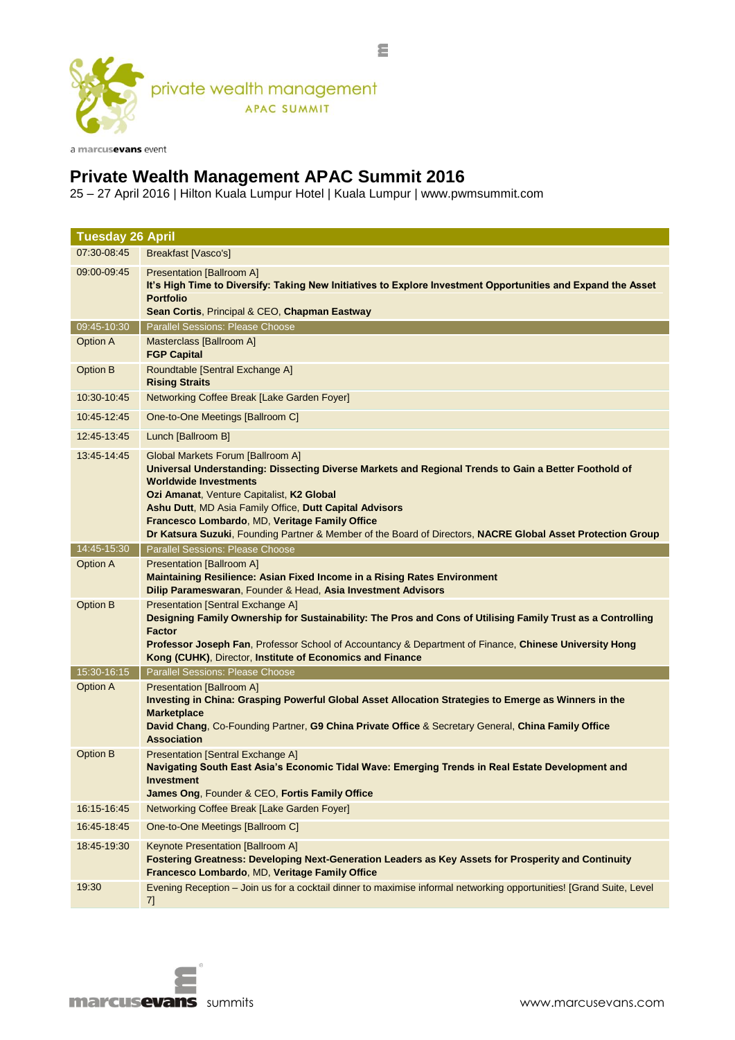

a marcusevans event

## **Private Wealth Management APAC Summit 2016**

25 – 27 April 2016 | Hilton Kuala Lumpur Hotel | Kuala Lumpur | www.pwmsummit.com

| <b>Tuesday 26 April</b> |                                                                                                                                                                                                                                                                                                                                                                                                                                                    |
|-------------------------|----------------------------------------------------------------------------------------------------------------------------------------------------------------------------------------------------------------------------------------------------------------------------------------------------------------------------------------------------------------------------------------------------------------------------------------------------|
| 07:30-08:45             | Breakfast [Vasco's]                                                                                                                                                                                                                                                                                                                                                                                                                                |
| 09:00-09:45             | <b>Presentation [Ballroom A]</b><br>It's High Time to Diversify: Taking New Initiatives to Explore Investment Opportunities and Expand the Asset<br><b>Portfolio</b><br>Sean Cortis, Principal & CEO, Chapman Eastway                                                                                                                                                                                                                              |
| 09:45-10:30             | <b>Parallel Sessions: Please Choose</b>                                                                                                                                                                                                                                                                                                                                                                                                            |
| Option A                | Masterclass [Ballroom A]<br><b>FGP Capital</b>                                                                                                                                                                                                                                                                                                                                                                                                     |
| <b>Option B</b>         | Roundtable [Sentral Exchange A]<br><b>Rising Straits</b>                                                                                                                                                                                                                                                                                                                                                                                           |
| 10:30-10:45             | Networking Coffee Break [Lake Garden Foyer]                                                                                                                                                                                                                                                                                                                                                                                                        |
| 10:45-12:45             | One-to-One Meetings [Ballroom C]                                                                                                                                                                                                                                                                                                                                                                                                                   |
| 12:45-13:45             | Lunch [Ballroom B]                                                                                                                                                                                                                                                                                                                                                                                                                                 |
| 13:45-14:45             | Global Markets Forum [Ballroom A]<br>Universal Understanding: Dissecting Diverse Markets and Regional Trends to Gain a Better Foothold of<br><b>Worldwide Investments</b><br>Ozi Amanat, Venture Capitalist, K2 Global<br>Ashu Dutt, MD Asia Family Office, Dutt Capital Advisors<br>Francesco Lombardo, MD, Veritage Family Office<br>Dr Katsura Suzuki, Founding Partner & Member of the Board of Directors, NACRE Global Asset Protection Group |
| 14:45-15:30             | <b>Parallel Sessions: Please Choose</b>                                                                                                                                                                                                                                                                                                                                                                                                            |
| <b>Option A</b>         | <b>Presentation [Ballroom A]</b><br>Maintaining Resilience: Asian Fixed Income in a Rising Rates Environment<br>Dilip Parameswaran, Founder & Head, Asia Investment Advisors                                                                                                                                                                                                                                                                       |
| <b>Option B</b>         | <b>Presentation [Sentral Exchange A]</b><br>Designing Family Ownership for Sustainability: The Pros and Cons of Utilising Family Trust as a Controlling<br><b>Factor</b><br>Professor Joseph Fan, Professor School of Accountancy & Department of Finance, Chinese University Hong<br>Kong (CUHK), Director, Institute of Economics and Finance                                                                                                    |
| 15:30-16:15             | <b>Parallel Sessions: Please Choose</b>                                                                                                                                                                                                                                                                                                                                                                                                            |
| <b>Option A</b>         | <b>Presentation [Ballroom A]</b><br>Investing in China: Grasping Powerful Global Asset Allocation Strategies to Emerge as Winners in the<br><b>Marketplace</b><br>David Chang, Co-Founding Partner, G9 China Private Office & Secretary General, China Family Office<br><b>Association</b>                                                                                                                                                         |
| <b>Option B</b>         | <b>Presentation [Sentral Exchange A]</b><br>Navigating South East Asia's Economic Tidal Wave: Emerging Trends in Real Estate Development and<br>Investment<br>James Ong, Founder & CEO, Fortis Family Office                                                                                                                                                                                                                                       |
| 16:15-16:45             | Networking Coffee Break [Lake Garden Foyer]                                                                                                                                                                                                                                                                                                                                                                                                        |
| 16:45-18:45             | One-to-One Meetings [Ballroom C]                                                                                                                                                                                                                                                                                                                                                                                                                   |
| 18:45-19:30             | <b>Keynote Presentation [Ballroom A]</b><br>Fostering Greatness: Developing Next-Generation Leaders as Key Assets for Prosperity and Continuity<br>Francesco Lombardo, MD, Veritage Family Office                                                                                                                                                                                                                                                  |
| 19:30                   | Evening Reception - Join us for a cocktail dinner to maximise informal networking opportunities! [Grand Suite, Level<br>7]                                                                                                                                                                                                                                                                                                                         |

Ξ